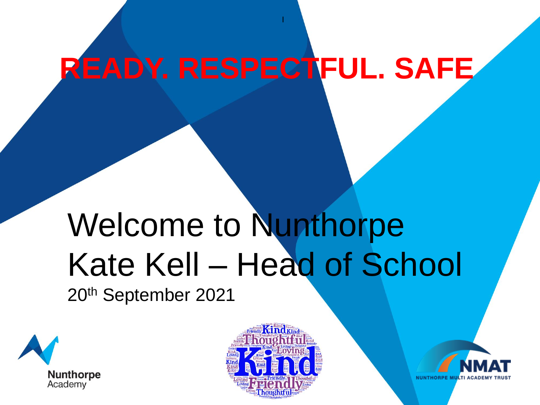## **READY. RESPECTFUL. SAFE**

I

# Welcome to Nunthorpe Kate Kell – Head of School

20th September 2021





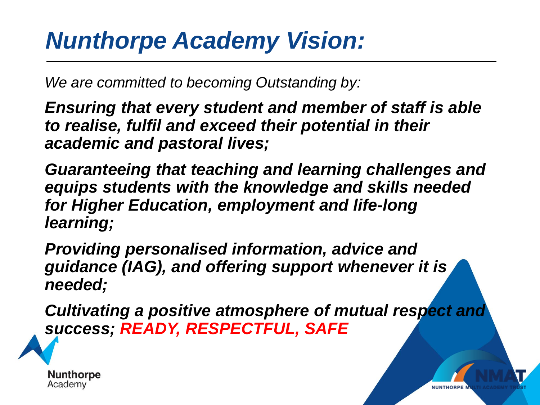### *Nunthorpe Academy Vision:*

*We are committed to becoming Outstanding by:*

*Ensuring that every student and member of staff is able to realise, fulfil and exceed their potential in their academic and pastoral lives;*

*Guaranteeing that teaching and learning challenges and equips students with the knowledge and skills needed for Higher Education, employment and life-long learning;*

*Providing personalised information, advice and guidance (IAG), and offering support whenever it is needed;*

*Cultivating a positive atmosphere of mutual respect and success; READY, RESPECTFUL, SAFE*

**NUNTHORPE** 

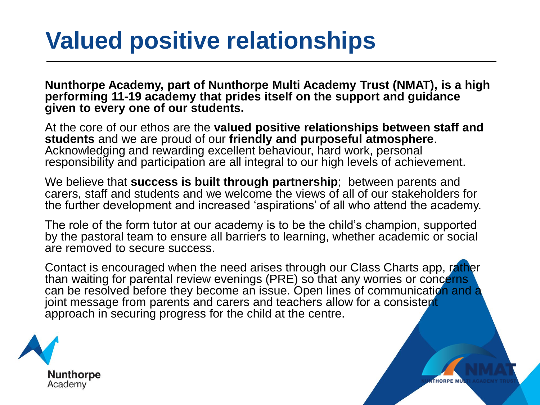### **Valued positive relationships**

**Nunthorpe Academy, part of Nunthorpe Multi Academy Trust (NMAT), is a high performing 11-19 academy that prides itself on the support and guidance given to every one of our students.**

At the core of our ethos are the **valued positive relationships between staff and students** and we are proud of our **friendly and purposeful atmosphere**. Acknowledging and rewarding excellent behaviour, hard work, personal responsibility and participation are all integral to our high levels of achievement.

We believe that **success is built through partnership**; between parents and carers, staff and students and we welcome the views of all of our stakeholders for the further development and increased 'aspirations' of all who attend the academy.

The role of the form tutor at our academy is to be the child's champion, supported by the pastoral team to ensure all barriers to learning, whether academic or social are removed to secure success.

Contact is encouraged when the need arises through our Class Charts app, rather than waiting for parental review evenings (PRE) so that any worries or concerns can be resolved before they become an issue. Open lines of communication and a joint message from parents and carers and teachers allow for a consistent approach in securing progress for the child at the centre.

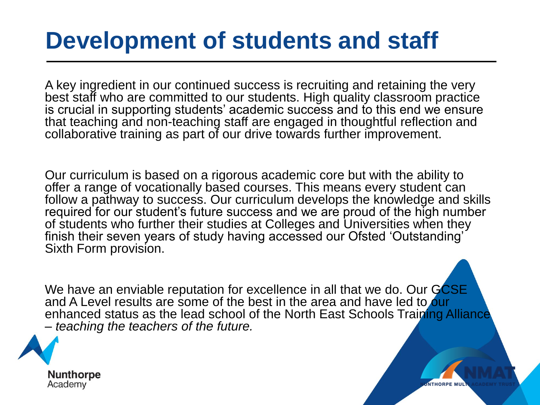### **Development of students and staff**

A key ingredient in our continued success is recruiting and retaining the very best staff who are committed to our students. High quality classroom practice is crucial in supporting students' academic success and to this end we ensure that teaching and non-teaching staff are engaged in thoughtful reflection and collaborative training as part of our drive towards further improvement.

Our curriculum is based on a rigorous academic core but with the ability to offer a range of vocationally based courses. This means every student can follow a pathway to success. Our curriculum develops the knowledge and skills required for our student's future success and we are proud of the high number of students who further their studies at Colleges and Universities when they finish their seven years of study having accessed our Ofsted 'Outstanding' Sixth Form provision.

We have an enviable reputation for excellence in all that we do. Our GCSE and A Level results are some of the best in the area and have led to our enhanced status as the lead school of the North East Schools Training Alliance – *teaching the teachers of the future.*

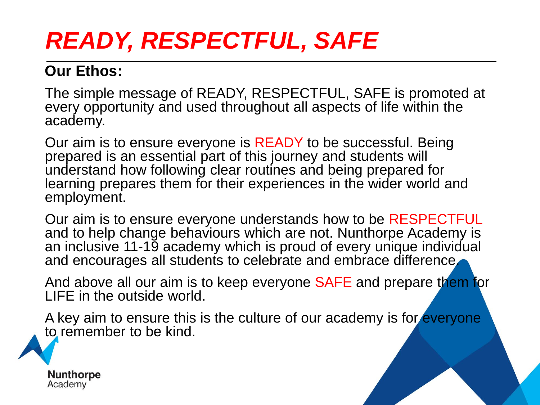### *READY, RESPECTFUL, SAFE*

#### **Our Ethos:**

The simple message of READY, RESPECTFUL, SAFE is promoted at every opportunity and used throughout all aspects of life within the academy.

Our aim is to ensure everyone is READY to be successful. Being prepared is an essential part of this journey and students will understand how following clear routines and being prepared for learning prepares them for their experiences in the wider world and employment.

Our aim is to ensure everyone understands how to be RESPECTFUL and to help change behaviours which are not. Nunthorpe Academy is an inclusive 11-19 academy which is proud of every unique individual and encourages all students to celebrate and embrace difference.

And above all our aim is to keep everyone SAFE and prepare them for LIFE in the outside world.

A key aim to ensure this is the culture of our academy is for everyone to remember to be kind.

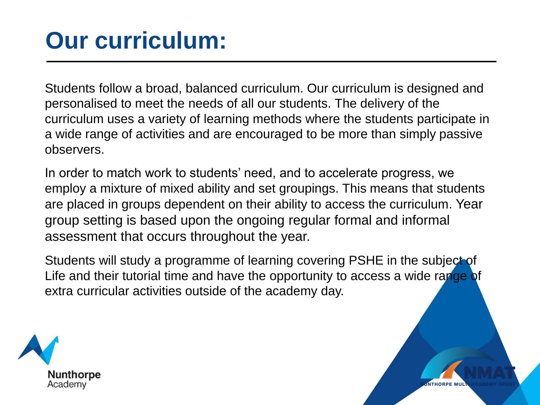### **Our curriculum:**

Students follow a broad, balanced curriculum. Our curriculum is designed and personalised to meet the needs of all our students. The delivery of the curriculum uses a variety of learning methods where the students participate in a wide range of activities and are encouraged to be more than simply passive observers.

In order to match work to students' need, and to accelerate progress, we employ a mixture of mixed ability and set groupings. This means that students are placed in groups dependent on their ability to access the curriculum. Year group setting is based upon the ongoing regular formal and informal assessment that occurs throughout the year.

Students will study a programme of learning covering PSHE in the subject of Life and their tutorial time and have the opportunity to access a wide range of extra curricular activities outside of the academy day.

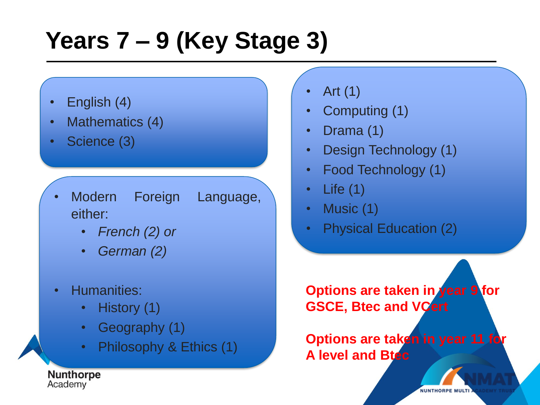### **Years 7 – 9 (Key Stage 3)**

- English (4)
- Mathematics (4)
- Science (3)
- Modern Foreign Language, either:
	- *French (2) or*
	- *German (2)*
- Humanities:
	- History (1)
	- Geography (1)
	- Philosophy & Ethics (1)

• Art (1)

- Computing (1)
- Drama (1)
- Design Technology (1)
- Food Technology (1)
- Life (1)
- Music (1)
- Physical Education (2)

**Options are taken in year 9 for GSCE, Btec and VCert**

**Options are taken in year 11 for A level and Btec**

**NUNTHORPE MULTI** 

**Nunthorpe** Academy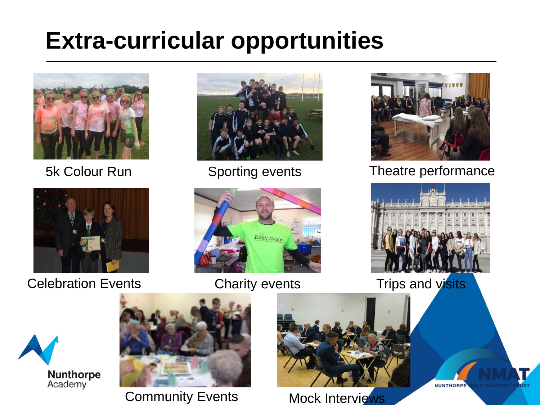### **Extra-curricular opportunities**





Celebration Events Charity events Trips and visits







#### 5k Colour Run Sporting events Theatre performance



**NUNTHORPE** 





Community Events Mock Interviews